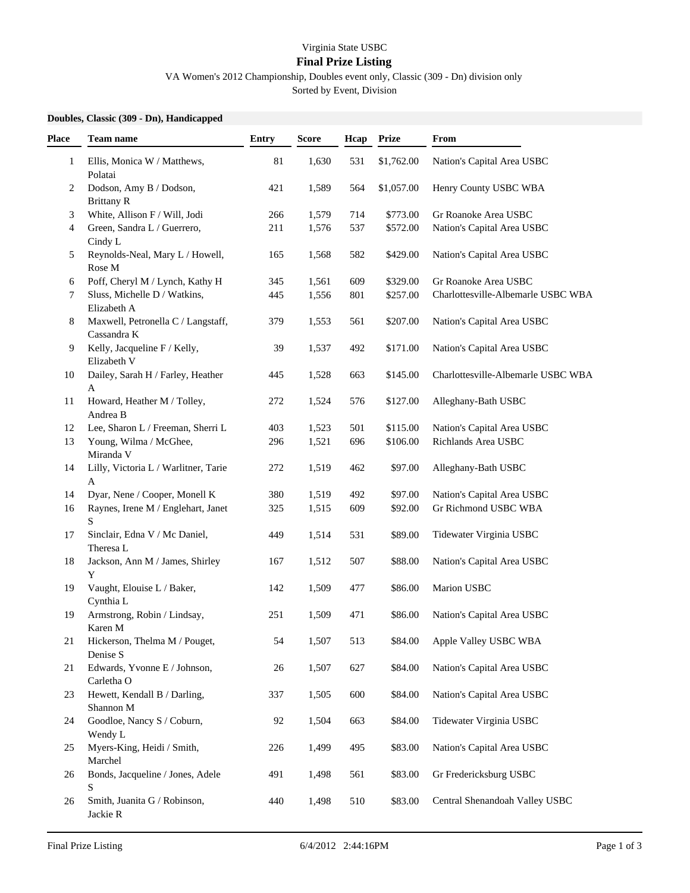## Virginia State USBC

## **Final Prize Listing**

VA Women's 2012 Championship, Doubles event only, Classic (309 - Dn) division only

Sorted by Event, Division

## **Doubles, Classic (309 - Dn), Handicapped**

| Place        | Team name                                         | <b>Entry</b> | <b>Score</b> | Hcap | Prize      | From                               |
|--------------|---------------------------------------------------|--------------|--------------|------|------------|------------------------------------|
| $\mathbf{1}$ | Ellis, Monica W / Matthews,<br>Polatai            | $81\,$       | 1,630        | 531  | \$1,762.00 | Nation's Capital Area USBC         |
| 2            | Dodson, Amy B / Dodson,<br><b>Brittany R</b>      | 421          | 1,589        | 564  | \$1,057.00 | Henry County USBC WBA              |
| 3            | White, Allison F / Will, Jodi                     | 266          | 1,579        | 714  | \$773.00   | Gr Roanoke Area USBC               |
| 4            | Green, Sandra L / Guerrero,<br>Cindy L            | 211          | 1,576        | 537  | \$572.00   | Nation's Capital Area USBC         |
| 5            | Reynolds-Neal, Mary L / Howell,<br>Rose M         | 165          | 1,568        | 582  | \$429.00   | Nation's Capital Area USBC         |
| 6            | Poff, Cheryl M / Lynch, Kathy H                   | 345          | 1,561        | 609  | \$329.00   | Gr Roanoke Area USBC               |
| 7            | Sluss, Michelle D / Watkins,<br>Elizabeth A       | 445          | 1,556        | 801  | \$257.00   | Charlottesville-Albemarle USBC WBA |
| 8            | Maxwell, Petronella C / Langstaff,<br>Cassandra K | 379          | 1,553        | 561  | \$207.00   | Nation's Capital Area USBC         |
| 9            | Kelly, Jacqueline F / Kelly,<br>Elizabeth V       | 39           | 1,537        | 492  | \$171.00   | Nation's Capital Area USBC         |
| 10           | Dailey, Sarah H / Farley, Heather<br>A            | 445          | 1,528        | 663  | \$145.00   | Charlottesville-Albemarle USBC WBA |
| 11           | Howard, Heather M / Tolley,<br>Andrea B           | 272          | 1,524        | 576  | \$127.00   | Alleghany-Bath USBC                |
| 12           | Lee, Sharon L / Freeman, Sherri L                 | 403          | 1,523        | 501  | \$115.00   | Nation's Capital Area USBC         |
| 13           | Young, Wilma / McGhee,<br>Miranda V               | 296          | 1,521        | 696  | \$106.00   | Richlands Area USBC                |
| 14           | Lilly, Victoria L / Warlitner, Tarie<br>A         | 272          | 1,519        | 462  | \$97.00    | Alleghany-Bath USBC                |
| 14           | Dyar, Nene / Cooper, Monell K                     | 380          | 1,519        | 492  | \$97.00    | Nation's Capital Area USBC         |
| 16           | Raynes, Irene M / Englehart, Janet<br>S           | 325          | 1,515        | 609  | \$92.00    | Gr Richmond USBC WBA               |
| 17           | Sinclair, Edna V / Mc Daniel,<br>Theresa L        | 449          | 1,514        | 531  | \$89.00    | Tidewater Virginia USBC            |
| 18           | Jackson, Ann M / James, Shirley<br>Y              | 167          | 1,512        | 507  | \$88.00    | Nation's Capital Area USBC         |
| 19           | Vaught, Elouise L / Baker,<br>Cynthia L           | 142          | 1,509        | 477  | \$86.00    | Marion USBC                        |
| 19           | Armstrong, Robin / Lindsay,<br>Karen M            | 251          | 1,509        | 471  | \$86.00    | Nation's Capital Area USBC         |
| 21           | Hickerson, Thelma M / Pouget,<br>Denise S         | 54           | 1,507        | 513  | \$84.00    | Apple Valley USBC WBA              |
| 21           | Edwards, Yvonne E / Johnson,<br>Carletha O        | 26           | 1,507        | 627  | \$84.00    | Nation's Capital Area USBC         |
| 23           | Hewett, Kendall B / Darling,<br>Shannon M         | 337          | 1,505        | 600  | \$84.00    | Nation's Capital Area USBC         |
| 24           | Goodloe, Nancy S / Coburn,<br>Wendy L             | 92           | 1,504        | 663  | \$84.00    | Tidewater Virginia USBC            |
| 25           | Myers-King, Heidi / Smith,<br>Marchel             | 226          | 1,499        | 495  | \$83.00    | Nation's Capital Area USBC         |
| 26           | Bonds, Jacqueline / Jones, Adele<br>S             | 491          | 1,498        | 561  | \$83.00    | Gr Fredericksburg USBC             |
| 26           | Smith, Juanita G / Robinson,<br>Jackie R          | 440          | 1,498        | 510  | \$83.00    | Central Shenandoah Valley USBC     |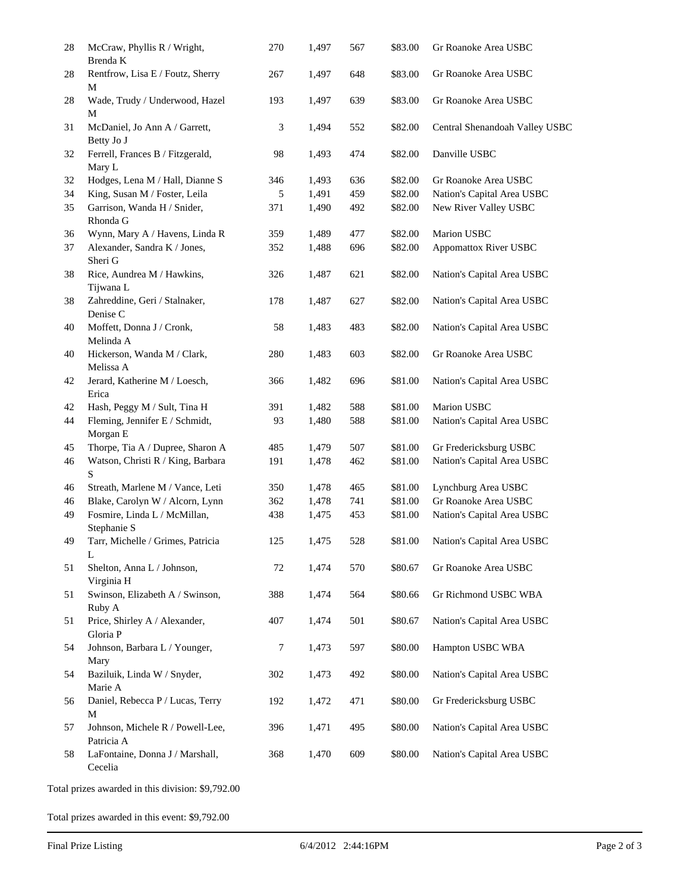| Rentfrow, Lisa E / Foutz, Sherry<br>Wade, Trudy / Underwood, Hazel<br>McDaniel, Jo Ann A / Garrett,<br>Betty Jo J<br>Ferrell, Frances B / Fitzgerald,<br>Mary L<br>Hodges, Lena M / Hall, Dianne S<br>King, Susan M / Foster, Leila<br>Garrison, Wanda H / Snider,<br>Rhonda G<br>Wynn, Mary A / Havens, Linda R<br>Alexander, Sandra K / Jones,<br>Sheri G<br>Rice, Aundrea M / Hawkins,<br>Tijwana L<br>Zahreddine, Geri / Stalnaker, | 267<br>193<br>3<br>98<br>346<br>5<br>371<br>359<br>352<br>326 | 1,497<br>1,497<br>1,494<br>1,493<br>1,493<br>1,491<br>1,490<br>1,489<br>1,488 | 648<br>639<br>552<br>474<br>636<br>459<br>492 | \$83.00<br>\$83.00<br>\$82.00<br>\$82.00<br>\$82.00<br>\$82.00<br>\$82.00 | Gr Roanoke Area USBC<br>Gr Roanoke Area USBC<br>Central Shenandoah Valley USBC<br>Danville USBC<br>Gr Roanoke Area USBC<br>Nation's Capital Area USBC |
|-----------------------------------------------------------------------------------------------------------------------------------------------------------------------------------------------------------------------------------------------------------------------------------------------------------------------------------------------------------------------------------------------------------------------------------------|---------------------------------------------------------------|-------------------------------------------------------------------------------|-----------------------------------------------|---------------------------------------------------------------------------|-------------------------------------------------------------------------------------------------------------------------------------------------------|
|                                                                                                                                                                                                                                                                                                                                                                                                                                         |                                                               |                                                                               |                                               |                                                                           |                                                                                                                                                       |
|                                                                                                                                                                                                                                                                                                                                                                                                                                         |                                                               |                                                                               |                                               |                                                                           |                                                                                                                                                       |
|                                                                                                                                                                                                                                                                                                                                                                                                                                         |                                                               |                                                                               |                                               |                                                                           |                                                                                                                                                       |
|                                                                                                                                                                                                                                                                                                                                                                                                                                         |                                                               |                                                                               |                                               |                                                                           |                                                                                                                                                       |
|                                                                                                                                                                                                                                                                                                                                                                                                                                         |                                                               |                                                                               |                                               |                                                                           |                                                                                                                                                       |
|                                                                                                                                                                                                                                                                                                                                                                                                                                         |                                                               |                                                                               |                                               |                                                                           |                                                                                                                                                       |
|                                                                                                                                                                                                                                                                                                                                                                                                                                         |                                                               |                                                                               |                                               |                                                                           | New River Valley USBC                                                                                                                                 |
|                                                                                                                                                                                                                                                                                                                                                                                                                                         |                                                               |                                                                               |                                               |                                                                           |                                                                                                                                                       |
|                                                                                                                                                                                                                                                                                                                                                                                                                                         |                                                               |                                                                               | 477                                           | \$82.00                                                                   | Marion USBC                                                                                                                                           |
|                                                                                                                                                                                                                                                                                                                                                                                                                                         |                                                               |                                                                               | 696                                           | \$82.00                                                                   | <b>Appomattox River USBC</b>                                                                                                                          |
|                                                                                                                                                                                                                                                                                                                                                                                                                                         |                                                               | 1,487                                                                         | 621                                           | \$82.00                                                                   | Nation's Capital Area USBC                                                                                                                            |
| Denise C                                                                                                                                                                                                                                                                                                                                                                                                                                | 178                                                           | 1,487                                                                         | 627                                           | \$82.00                                                                   | Nation's Capital Area USBC                                                                                                                            |
| Moffett, Donna J / Cronk,<br>Melinda A                                                                                                                                                                                                                                                                                                                                                                                                  | 58                                                            | 1,483                                                                         | 483                                           | \$82.00                                                                   | Nation's Capital Area USBC                                                                                                                            |
| Hickerson, Wanda M / Clark,<br>Melissa A                                                                                                                                                                                                                                                                                                                                                                                                | 280                                                           | 1,483                                                                         | 603                                           | \$82.00                                                                   | Gr Roanoke Area USBC                                                                                                                                  |
| Jerard, Katherine M / Loesch,<br>Erica                                                                                                                                                                                                                                                                                                                                                                                                  | 366                                                           | 1,482                                                                         | 696                                           | \$81.00                                                                   | Nation's Capital Area USBC                                                                                                                            |
| Hash, Peggy M / Sult, Tina H                                                                                                                                                                                                                                                                                                                                                                                                            | 391                                                           | 1,482                                                                         | 588                                           | \$81.00                                                                   | Marion USBC                                                                                                                                           |
| Fleming, Jennifer E / Schmidt,<br>Morgan E                                                                                                                                                                                                                                                                                                                                                                                              | 93                                                            | 1,480                                                                         | 588                                           | \$81.00                                                                   | Nation's Capital Area USBC                                                                                                                            |
| Thorpe, Tia A / Dupree, Sharon A                                                                                                                                                                                                                                                                                                                                                                                                        | 485                                                           | 1,479                                                                         | 507                                           | \$81.00                                                                   | Gr Fredericksburg USBC                                                                                                                                |
| Watson, Christi R / King, Barbara                                                                                                                                                                                                                                                                                                                                                                                                       | 191                                                           | 1,478                                                                         | 462                                           | \$81.00                                                                   | Nation's Capital Area USBC                                                                                                                            |
| Streath, Marlene M / Vance, Leti                                                                                                                                                                                                                                                                                                                                                                                                        | 350                                                           | 1,478                                                                         | 465                                           | \$81.00                                                                   | Lynchburg Area USBC                                                                                                                                   |
| Blake, Carolyn W / Alcorn, Lynn                                                                                                                                                                                                                                                                                                                                                                                                         | 362                                                           | 1,478                                                                         | 741                                           | \$81.00                                                                   | Gr Roanoke Area USBC                                                                                                                                  |
| Fosmire, Linda L / McMillan,<br>Stephanie S                                                                                                                                                                                                                                                                                                                                                                                             | 438                                                           | 1,475                                                                         | 453                                           | \$81.00                                                                   | Nation's Capital Area USBC                                                                                                                            |
| Tarr, Michelle / Grimes, Patricia                                                                                                                                                                                                                                                                                                                                                                                                       | 125                                                           | 1,475                                                                         | 528                                           | \$81.00                                                                   | Nation's Capital Area USBC                                                                                                                            |
| Shelton, Anna L / Johnson,<br>Virginia H                                                                                                                                                                                                                                                                                                                                                                                                | 72                                                            | 1,474                                                                         | 570                                           | \$80.67                                                                   | Gr Roanoke Area USBC                                                                                                                                  |
| Swinson, Elizabeth A / Swinson,<br>Ruby A                                                                                                                                                                                                                                                                                                                                                                                               | 388                                                           | 1,474                                                                         | 564                                           | \$80.66                                                                   | Gr Richmond USBC WBA                                                                                                                                  |
| Price, Shirley A / Alexander,<br>Gloria P                                                                                                                                                                                                                                                                                                                                                                                               | 407                                                           | 1,474                                                                         | 501                                           | \$80.67                                                                   | Nation's Capital Area USBC                                                                                                                            |
| Johnson, Barbara L / Younger,<br>Mary                                                                                                                                                                                                                                                                                                                                                                                                   | 7                                                             | 1,473                                                                         | 597                                           | \$80.00                                                                   | Hampton USBC WBA                                                                                                                                      |
| Baziluik, Linda W / Snyder,<br>Marie A                                                                                                                                                                                                                                                                                                                                                                                                  | 302                                                           | 1,473                                                                         | 492                                           | \$80.00                                                                   | Nation's Capital Area USBC                                                                                                                            |
| Daniel, Rebecca P / Lucas, Terry                                                                                                                                                                                                                                                                                                                                                                                                        | 192                                                           | 1,472                                                                         | 471                                           | \$80.00                                                                   | Gr Fredericksburg USBC                                                                                                                                |
| Johnson, Michele R / Powell-Lee,<br>Patricia A                                                                                                                                                                                                                                                                                                                                                                                          | 396                                                           | 1,471                                                                         | 495                                           | \$80.00                                                                   | Nation's Capital Area USBC                                                                                                                            |
| LaFontaine, Donna J / Marshall,                                                                                                                                                                                                                                                                                                                                                                                                         | 368                                                           | 1,470                                                                         | 609                                           | \$80.00                                                                   | Nation's Capital Area USBC                                                                                                                            |
|                                                                                                                                                                                                                                                                                                                                                                                                                                         | Cecelia                                                       |                                                                               |                                               |                                                                           |                                                                                                                                                       |

Total prizes awarded in this event: \$9,792.00